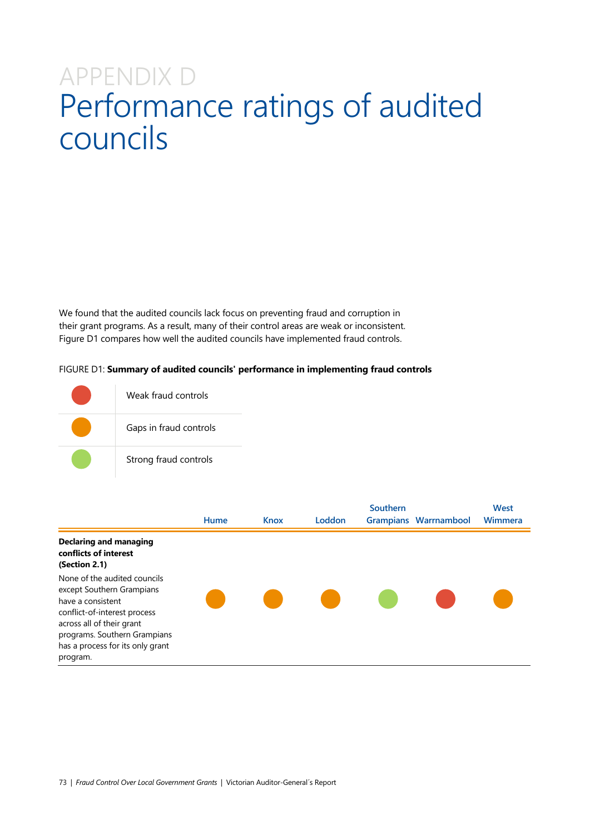## APPENDIX D Performance ratings of audited councils

We found that the audited councils lack focus on preventing fraud and corruption in their grant programs. As a result, many of their control areas are weak or inconsistent. Figure D1 compares how well the audited councils have implemented fraud controls.

## FIGURE D1: **Summary of audited councils' performance in implementing fraud controls**

| Weak fraud controls    |
|------------------------|
| Gaps in fraud controls |
| Strong fraud controls  |

|                                                                                                                                                                                                                             | Hume | <b>Knox</b> | Loddon      | Southern | <b>Grampians Warrnambool</b> | West<br>Wimmera |
|-----------------------------------------------------------------------------------------------------------------------------------------------------------------------------------------------------------------------------|------|-------------|-------------|----------|------------------------------|-----------------|
|                                                                                                                                                                                                                             |      |             |             |          |                              |                 |
| <b>Declaring and managing</b><br>conflicts of interest<br>(Section 2.1)                                                                                                                                                     |      |             |             |          |                              |                 |
| None of the audited councils<br>except Southern Grampians<br>have a consistent<br>conflict-of-interest process<br>across all of their grant<br>programs. Southern Grampians<br>has a process for its only grant<br>program. |      |             | <b>STAR</b> |          |                              |                 |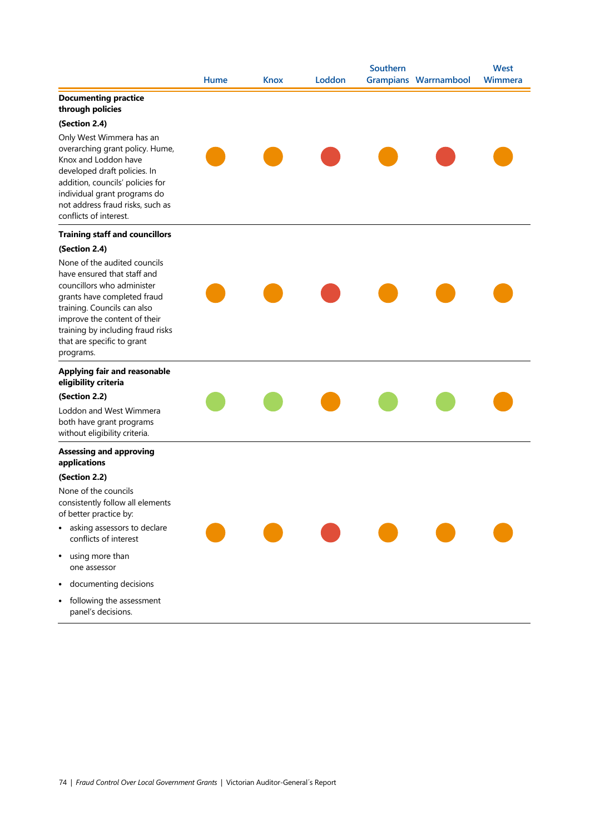|                                                                                                                                                                                                                                                                         |      |             |        | Southern |                              | <b>West</b> |
|-------------------------------------------------------------------------------------------------------------------------------------------------------------------------------------------------------------------------------------------------------------------------|------|-------------|--------|----------|------------------------------|-------------|
|                                                                                                                                                                                                                                                                         | Hume | <b>Knox</b> | Loddon |          | <b>Grampians Warrnambool</b> | Wimmera     |
| <b>Documenting practice</b><br>through policies                                                                                                                                                                                                                         |      |             |        |          |                              |             |
| (Section 2.4)                                                                                                                                                                                                                                                           |      |             |        |          |                              |             |
| Only West Wimmera has an<br>overarching grant policy. Hume,<br>Knox and Loddon have<br>developed draft policies. In<br>addition, councils' policies for<br>individual grant programs do<br>not address fraud risks, such as<br>conflicts of interest.                   |      |             |        |          |                              |             |
| <b>Training staff and councillors</b>                                                                                                                                                                                                                                   |      |             |        |          |                              |             |
| (Section 2.4)                                                                                                                                                                                                                                                           |      |             |        |          |                              |             |
| None of the audited councils<br>have ensured that staff and<br>councillors who administer<br>grants have completed fraud<br>training. Councils can also<br>improve the content of their<br>training by including fraud risks<br>that are specific to grant<br>programs. |      |             |        |          |                              |             |
| <b>Applying fair and reasonable</b><br>eligibility criteria                                                                                                                                                                                                             |      |             |        |          |                              |             |
| (Section 2.2)                                                                                                                                                                                                                                                           |      |             |        |          |                              |             |
| Loddon and West Wimmera<br>both have grant programs<br>without eligibility criteria.                                                                                                                                                                                    |      |             |        |          |                              |             |
| <b>Assessing and approving</b><br>applications                                                                                                                                                                                                                          |      |             |        |          |                              |             |
| (Section 2.2)                                                                                                                                                                                                                                                           |      |             |        |          |                              |             |
| None of the councils<br>consistently follow all elements<br>of better practice by:                                                                                                                                                                                      |      |             |        |          |                              |             |
| asking assessors to declare<br>٠<br>conflicts of interest                                                                                                                                                                                                               |      |             |        |          |                              |             |
| using more than<br>$\bullet$<br>one assessor                                                                                                                                                                                                                            |      |             |        |          |                              |             |
| documenting decisions<br>$\bullet$                                                                                                                                                                                                                                      |      |             |        |          |                              |             |
| following the assessment<br>$\bullet$<br>panel's decisions.                                                                                                                                                                                                             |      |             |        |          |                              |             |